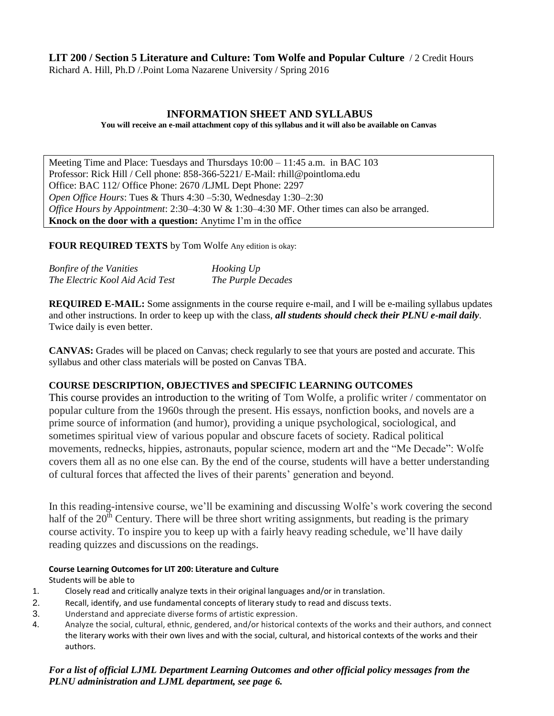## **LIT 200 / Section 5 Literature and Culture: Tom Wolfe and Popular Culture** / 2 Credit Hours

Richard A. Hill, Ph.D /.Point Loma Nazarene University / Spring 2016

## **INFORMATION SHEET AND SYLLABUS**

**You will receive an e-mail attachment copy of this syllabus and it will also be available on Canvas**

Meeting Time and Place: Tuesdays and Thursdays 10:00 – 11:45 a.m. in BAC 103 Professor: Rick Hill / Cell phone: 858-366-5221/ E-Mail: rhill@pointloma.edu Office: BAC 112/ Office Phone: 2670 /LJML Dept Phone: 2297 *Open Office Hours*: Tues & Thurs 4:30 –5:30, Wednesday 1:30–2:30 *Office Hours by Appointment*: 2:30–4:30 W & 1:30–4:30 MF. Other times can also be arranged. **Knock on the door with a question:** Anytime I'm in the office

**FOUR REQUIRED TEXTS** by Tom Wolfe Any edition is okay:

| <b>Bonfire of the Vanities</b>  | Hooking Up         |
|---------------------------------|--------------------|
| The Electric Kool Aid Acid Test | The Purple Decades |

**REQUIRED E-MAIL:** Some assignments in the course require e-mail, and I will be e-mailing syllabus updates and other instructions. In order to keep up with the class, *all students should check their PLNU e-mail daily*. Twice daily is even better.

**CANVAS:** Grades will be placed on Canvas; check regularly to see that yours are posted and accurate. This syllabus and other class materials will be posted on Canvas TBA.

### **COURSE DESCRIPTION, OBJECTIVES and SPECIFIC LEARNING OUTCOMES**

This course provides an introduction to the writing of Tom Wolfe, a prolific writer / commentator on popular culture from the 1960s through the present. His essays, nonfiction books, and novels are a prime source of information (and humor), providing a unique psychological, sociological, and sometimes spiritual view of various popular and obscure facets of society. Radical political movements, rednecks, hippies, astronauts, popular science, modern art and the "Me Decade": Wolfe covers them all as no one else can. By the end of the course, students will have a better understanding of cultural forces that affected the lives of their parents' generation and beyond.

In this reading-intensive course, we'll be examining and discussing Wolfe's work covering the second half of the  $20<sup>th</sup>$  Century. There will be three short writing assignments, but reading is the primary course activity. To inspire you to keep up with a fairly heavy reading schedule, we'll have daily reading quizzes and discussions on the readings.

#### **Course Learning Outcomes for LIT 200: Literature and Culture**

Students will be able to

- 1. Closely read and critically analyze texts in their original languages and/or in translation.
- 2. Recall, identify, and use fundamental concepts of literary study to read and discuss texts.
- 3. Understand and appreciate diverse forms of artistic expression.
- 4. Analyze the social, cultural, ethnic, gendered, and/or historical contexts of the works and their authors, and connect the literary works with their own lives and with the social, cultural, and historical contexts of the works and their authors.

## *For a list of official LJML Department Learning Outcomes and other official policy messages from the PLNU administration and LJML department, see page 6.*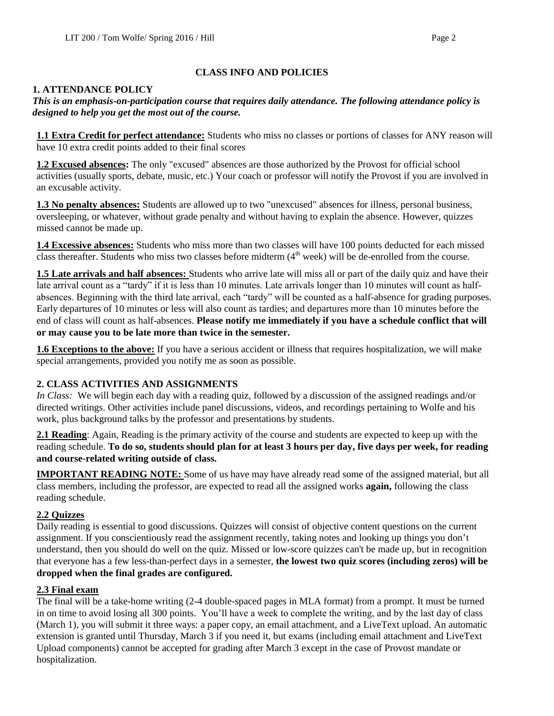# **CLASS INFO AND POLICIES**

# **1. ATTENDANCE POLICY**

## *This is an emphasis-on-participation course that requires daily attendance. The following attendance policy is designed to help you get the most out of the course.*

**1.1 Extra Credit for perfect attendance:** Students who miss no classes or portions of classes for ANY reason will have 10 extra credit points added to their final scores

**1.2 Excused absences:** The only "excused" absences are those authorized by the Provost for official school activities (usually sports, debate, music, etc.) Your coach or professor will notify the Provost if you are involved in an excusable activity.

**1.3 No penalty absences:** Students are allowed up to two "unexcused" absences for illness, personal business, oversleeping, or whatever, without grade penalty and without having to explain the absence. However, quizzes missed cannot be made up.

**1.4 Excessive absences:** Students who miss more than two classes will have 100 points deducted for each missed class thereafter. Students who miss two classes before midterm  $(4<sup>th</sup>$  week) will be de-enrolled from the course.

**1.5 Late arrivals and half absences:** Students who arrive late will miss all or part of the daily quiz and have their late arrival count as a "tardy" if it is less than 10 minutes. Late arrivals longer than 10 minutes will count as halfabsences. Beginning with the third late arrival, each "tardy" will be counted as a half-absence for grading purposes. Early departures of 10 minutes or less will also count as tardies; and departures more than 10 minutes before the end of class will count as half-absences. **Please notify me immediately if you have a schedule conflict that will or may cause you to be late more than twice in the semester.**

**1.6 Exceptions to the above:** If you have a serious accident or illness that requires hospitalization, we will make special arrangements, provided you notify me as soon as possible.

## **2. CLASS ACTIVITIES AND ASSIGNMENTS**

*In Class:* We will begin each day with a reading quiz, followed by a discussion of the assigned readings and/or directed writings. Other activities include panel discussions, videos, and recordings pertaining to Wolfe and his work, plus background talks by the professor and presentations by students.

**2.1 Reading**: Again, Reading is the primary activity of the course and students are expected to keep up with the reading schedule. **To do so, students should plan for at least 3 hours per day, five days per week, for reading and course-related writing outside of class.**

**IMPORTANT READING NOTE:** Some of us have may have already read some of the assigned material, but all class members, including the professor, are expected to read all the assigned works **again,** following the class reading schedule.

# **2.2 Quizzes**

Daily reading is essential to good discussions. Quizzes will consist of objective content questions on the current assignment. If you conscientiously read the assignment recently, taking notes and looking up things you don't understand, then you should do well on the quiz. Missed or low-score quizzes can't be made up, but in recognition that everyone has a few less-than-perfect days in a semester, **the lowest two quiz scores (including zeros) will be dropped when the final grades are configured.** 

# **2.3 Final exam**

The final will be a take-home writing (2-4 double-spaced pages in MLA format) from a prompt. It must be turned in on time to avoid losing all 300 points. You'll have a week to complete the writing, and by the last day of class (March 1), you will submit it three ways: a paper copy, an email attachment, and a LiveText upload. An automatic extension is granted until Thursday, March 3 if you need it, but exams (including email attachment and LiveText Upload components) cannot be accepted for grading after March 3 except in the case of Provost mandate or hospitalization.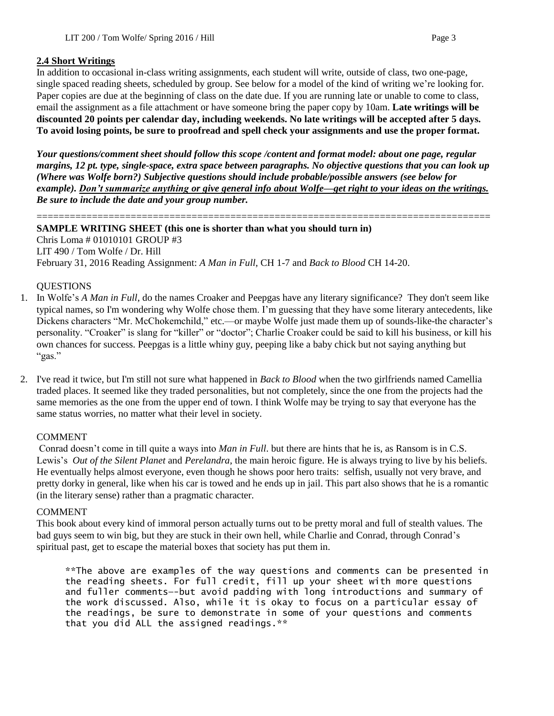#### **2.4 Short Writings**

In addition to occasional in-class writing assignments, each student will write, outside of class, two one-page, single spaced reading sheets, scheduled by group. See below for a model of the kind of writing we're looking for. Paper copies are due at the beginning of class on the date due. If you are running late or unable to come to class, email the assignment as a file attachment or have someone bring the paper copy by 10am. **Late writings will be discounted 20 points per calendar day, including weekends. No late writings will be accepted after 5 days. To avoid losing points, be sure to proofread and spell check your assignments and use the proper format.**

*Your questions/comment sheet should follow this scope /content and format model: about one page, regular margins, 12 pt. type, single-space, extra space between paragraphs. No objective questions that you can look up (Where was Wolfe born?) Subjective questions should include probable/possible answers (see below for example). Don't summarize anything or give general info about Wolfe—get right to your ideas on the writings. Be sure to include the date and your group number.* 

==================================================================================

#### **SAMPLE WRITING SHEET (this one is shorter than what you should turn in)**

Chris Loma # 01010101 GROUP #3 LIT 490 / Tom Wolfe / Dr. Hill February 31, 2016 Reading Assignment: *A Man in Full*, CH 1-7 and *Back to Blood* CH 14-20.

#### **OUESTIONS**

- 1. In Wolfe's *A Man in Full*, do the names Croaker and Peepgas have any literary significance? They don't seem like typical names, so I'm wondering why Wolfe chose them. I'm guessing that they have some literary antecedents, like Dickens characters "Mr. McChokemchild," etc.—or maybe Wolfe just made them up of sounds-like-the character's personality. "Croaker" is slang for "killer" or "doctor"; Charlie Croaker could be said to kill his business, or kill his own chances for success. Peepgas is a little whiny guy, peeping like a baby chick but not saying anything but "gas."
- 2. I've read it twice, but I'm still not sure what happened in *Back to Blood* when the two girlfriends named Camellia traded places. It seemed like they traded personalities, but not completely, since the one from the projects had the same memories as the one from the upper end of town. I think Wolfe may be trying to say that everyone has the same status worries, no matter what their level in society.

### COMMENT

Conrad doesn't come in till quite a ways into *Man in Full*. but there are hints that he is, as Ransom is in C.S. Lewis's *Out of the Silent Planet* and *Perelandra*, the main heroic figure. He is always trying to live by his beliefs. He eventually helps almost everyone, even though he shows poor hero traits: selfish, usually not very brave, and pretty dorky in general, like when his car is towed and he ends up in jail. This part also shows that he is a romantic (in the literary sense) rather than a pragmatic character.

#### COMMENT

This book about every kind of immoral person actually turns out to be pretty moral and full of stealth values. The bad guys seem to win big, but they are stuck in their own hell, while Charlie and Conrad, through Conrad's spiritual past, get to escape the material boxes that society has put them in.

\*\*The above are examples of the way questions and comments can be presented in the reading sheets. For full credit, fill up your sheet with more questions and fuller comments—-but avoid padding with long introductions and summary of the work discussed. Also, while it is okay to focus on a particular essay of the readings, be sure to demonstrate in some of your questions and comments that you did ALL the assigned readings.\*\*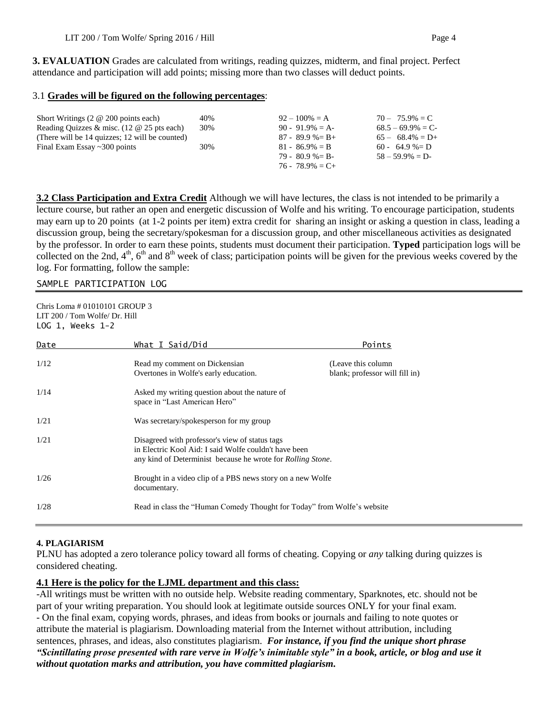**3. EVALUATION** Grades are calculated from writings, reading quizzes, midterm, and final project. Perfect attendance and participation will add points; missing more than two classes will deduct points.

#### 3.1 **Grades will be figured on the following percentages**:

| Short Writings $(2 \otimes 200 \text{ points each})$  | 40% | $92 - 100\% = A$    | $70 - 75.9\% = C$   |
|-------------------------------------------------------|-----|---------------------|---------------------|
| Reading Ouizzes & misc. $(12 \& 25 \text{ pts each})$ | 30% | $90 - 91.9\% = A$   | $68.5 - 69.9\% = C$ |
| (There will be 14 quizzes; 12 will be counted)        |     | $87 - 89.9\% = B +$ | $65 - 68.4\% = D+$  |
| Final Exam Essay $\sim$ 300 points                    | 30% | $81 - 86.9\% = B$   | $60 - 64.9\% = D$   |
|                                                       |     | $79 - 80.9\% = B$   | $58 - 59.9\% = D$   |
|                                                       |     | $76 - 78.9\% = C +$ |                     |

**3.2 Class Participation and Extra Credit** Although we will have lectures, the class is not intended to be primarily a lecture course, but rather an open and energetic discussion of Wolfe and his writing. To encourage participation, students may earn up to 20 points (at 1-2 points per item) extra credit for sharing an insight or asking a question in class, leading a discussion group, being the secretary/spokesman for a discussion group, and other miscellaneous activities as designated by the professor. In order to earn these points, students must document their participation. **Typed** participation logs will be collected on the 2nd,  $4^{\text{th}}$ ,  $6^{\text{th}}$  and  $8^{\text{th}}$  week of class; participation points will be given for the previous weeks covered by the log. For formatting, follow the sample:

#### SAMPLE PARTICIPATION LOG

| Chris Loma # 01010101 GROUP 3<br>LIT 200 / Tom Wolfe/ Dr. Hill<br>$LOG 1, Weeks 1-2$ |                                                                                                                                                                                |                                                       |
|--------------------------------------------------------------------------------------|--------------------------------------------------------------------------------------------------------------------------------------------------------------------------------|-------------------------------------------------------|
| Date                                                                                 | What I Said/Did                                                                                                                                                                | Points                                                |
| 1/12                                                                                 | Read my comment on Dickensian<br>Overtones in Wolfe's early education.                                                                                                         | (Leave this column)<br>blank; professor will fill in) |
| 1/14                                                                                 | Asked my writing question about the nature of<br>space in "Last American Hero"                                                                                                 |                                                       |
| 1/21                                                                                 | Was secretary/spokesperson for my group                                                                                                                                        |                                                       |
| 1/21                                                                                 | Disagreed with professor's view of status tags<br>in Electric Kool Aid: I said Wolfe couldn't have been<br>any kind of Determinist because he wrote for <i>Rolling Stone</i> . |                                                       |
| 1/26                                                                                 | Brought in a video clip of a PBS news story on a new Wolfe<br>documentary.                                                                                                     |                                                       |
| 1/28                                                                                 | Read in class the "Human Comedy Thought for Today" from Wolfe's website                                                                                                        |                                                       |

### **4. PLAGIARISM**

PLNU has adopted a zero tolerance policy toward all forms of cheating. Copying or *any* talking during quizzes is considered cheating.

### **4.1 Here is the policy for the LJML department and this class:**

-All writings must be written with no outside help. Website reading commentary, Sparknotes, etc. should not be part of your writing preparation. You should look at legitimate outside sources ONLY for your final exam. - On the final exam, copying words, phrases, and ideas from books or journals and failing to note quotes or attribute the material is plagiarism. Downloading material from the Internet without attribution, including sentences, phrases, and ideas, also constitutes plagiarism. *For instance, if you find the unique short phrase "Scintillating prose presented with rare verve in Wolfe's inimitable style" in a book, article, or blog and use it without quotation marks and attribution, you have committed plagiarism.*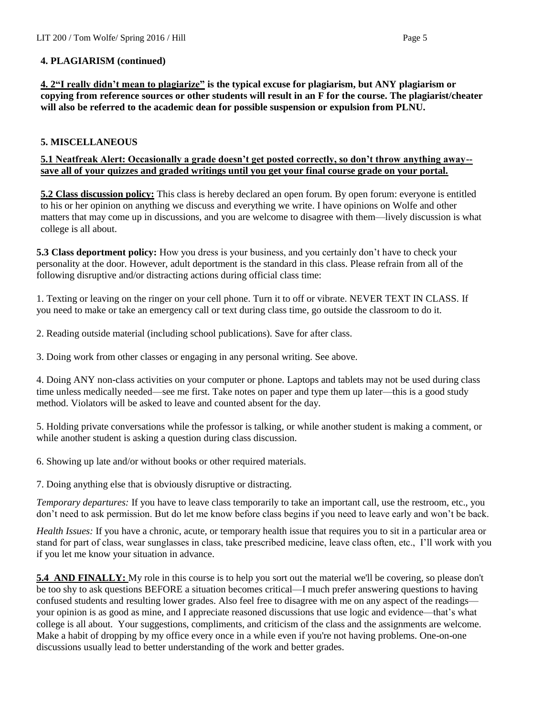## **4. PLAGIARISM (continued)**

**4. 2"I really didn't mean to plagiarize" is the typical excuse for plagiarism, but ANY plagiarism or copying from reference sources or other students will result in an F for the course. The plagiarist/cheater will also be referred to the academic dean for possible suspension or expulsion from PLNU.**

## **5. MISCELLANEOUS**

## **5.1 Neatfreak Alert: Occasionally a grade doesn't get posted correctly, so don't throw anything away- save all of your quizzes and graded writings until you get your final course grade on your portal.**

**5.2 Class discussion policy:** This class is hereby declared an open forum. By open forum: everyone is entitled to his or her opinion on anything we discuss and everything we write. I have opinions on Wolfe and other matters that may come up in discussions, and you are welcome to disagree with them—lively discussion is what college is all about.

**5.3 Class deportment policy:** How you dress is your business, and you certainly don't have to check your personality at the door. However, adult deportment is the standard in this class. Please refrain from all of the following disruptive and/or distracting actions during official class time:

1. Texting or leaving on the ringer on your cell phone. Turn it to off or vibrate. NEVER TEXT IN CLASS. If you need to make or take an emergency call or text during class time, go outside the classroom to do it.

2. Reading outside material (including school publications). Save for after class.

3. Doing work from other classes or engaging in any personal writing. See above.

4. Doing ANY non-class activities on your computer or phone. Laptops and tablets may not be used during class time unless medically needed—see me first. Take notes on paper and type them up later—this is a good study method. Violators will be asked to leave and counted absent for the day.

5. Holding private conversations while the professor is talking, or while another student is making a comment, or while another student is asking a question during class discussion.

6. Showing up late and/or without books or other required materials.

7. Doing anything else that is obviously disruptive or distracting.

*Temporary departures:* If you have to leave class temporarily to take an important call, use the restroom, etc., you don't need to ask permission. But do let me know before class begins if you need to leave early and won't be back.

*Health Issues:* If you have a chronic, acute, or temporary health issue that requires you to sit in a particular area or stand for part of class, wear sunglasses in class, take prescribed medicine, leave class often, etc., I'll work with you if you let me know your situation in advance.

**5.4 AND FINALLY:** My role in this course is to help you sort out the material we'll be covering, so please don't be too shy to ask questions BEFORE a situation becomes critical—I much prefer answering questions to having confused students and resulting lower grades. Also feel free to disagree with me on any aspect of the readings your opinion is as good as mine, and I appreciate reasoned discussions that use logic and evidence—that's what college is all about. Your suggestions, compliments, and criticism of the class and the assignments are welcome. Make a habit of dropping by my office every once in a while even if you're not having problems. One-on-one discussions usually lead to better understanding of the work and better grades.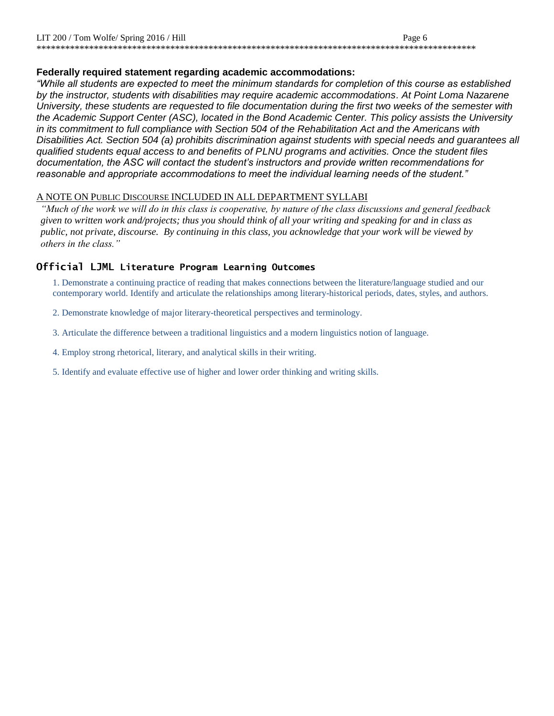## **Federally required statement regarding academic accommodations:**

*"While all students are expected to meet the minimum standards for completion of this course as established by the instructor, students with disabilities may require academic accommodations. At Point Loma Nazarene University, these students are requested to file documentation during the first two weeks of the semester with the Academic Support Center (ASC), located in the Bond Academic Center. This policy assists the University in its commitment to full compliance with Section 504 of the Rehabilitation Act and the Americans with Disabilities Act. Section 504 (a) prohibits discrimination against students with special needs and guarantees all qualified students equal access to and benefits of PLNU programs and activities. Once the student files documentation, the ASC will contact the student's instructors and provide written recommendations for reasonable and appropriate accommodations to meet the individual learning needs of the student."*

## A NOTE ON PUBLIC DISCOURSE INCLUDED IN ALL DEPARTMENT SYLLABI

*"Much of the work we will do in this class is cooperative, by nature of the class discussions and general feedback given to written work and/projects; thus you should think of all your writing and speaking for and in class as public, not private, discourse. By continuing in this class, you acknowledge that your work will be viewed by others in the class."*

## **Official LJML Literature Program Learning Outcomes**

1. Demonstrate a continuing practice of reading that makes connections between the literature/language studied and our contemporary world. Identify and articulate the relationships among literary-historical periods, dates, styles, and authors.

- 2. Demonstrate knowledge of major literary-theoretical perspectives and terminology.
- 3. Articulate the difference between a traditional linguistics and a modern linguistics notion of language.
- 4. Employ strong rhetorical, literary, and analytical skills in their writing.
- 5. Identify and evaluate effective use of higher and lower order thinking and writing skills.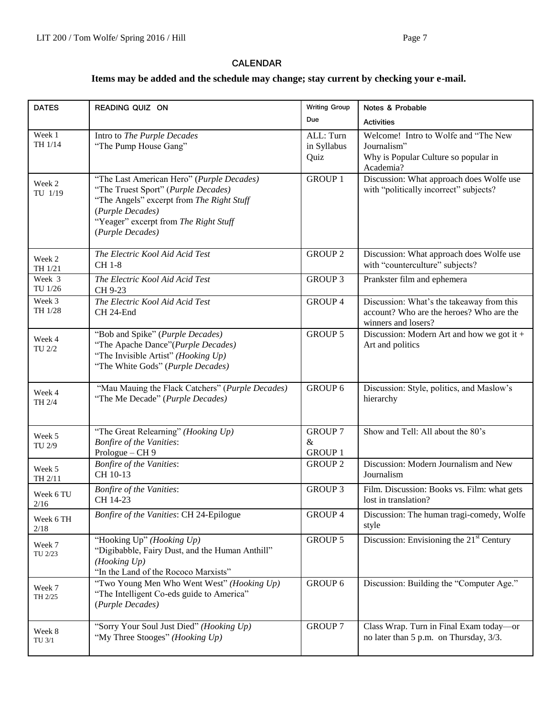### **CALENDAR**

# **Items may be added and the schedule may change; stay current by checking your e-mail.**

| <b>DATES</b>      | READING QUIZ ON                                                                                                                                                                                                | <b>Writing Group</b>                     | Notes & Probable                                                                                             |
|-------------------|----------------------------------------------------------------------------------------------------------------------------------------------------------------------------------------------------------------|------------------------------------------|--------------------------------------------------------------------------------------------------------------|
|                   |                                                                                                                                                                                                                | Due                                      | <b>Activities</b>                                                                                            |
| Week 1<br>TH 1/14 | Intro to The Purple Decades<br>"The Pump House Gang"                                                                                                                                                           | ALL: Turn<br>in Syllabus<br>Quiz         | Welcome! Intro to Wolfe and "The New<br>Journalism"<br>Why is Popular Culture so popular in<br>Academia?     |
| Week 2<br>TU 1/19 | "The Last American Hero" (Purple Decades)<br>"The Truest Sport" (Purple Decades)<br>"The Angels" excerpt from The Right Stuff<br>(Purple Decades)<br>"Yeager" excerpt from The Right Stuff<br>(Purple Decades) | <b>GROUP 1</b>                           | Discussion: What approach does Wolfe use<br>with "politically incorrect" subjects?                           |
| Week 2<br>TH 1/21 | The Electric Kool Aid Acid Test<br>CH 1-8                                                                                                                                                                      | <b>GROUP 2</b>                           | Discussion: What approach does Wolfe use<br>with "counterculture" subjects?                                  |
| Week 3<br>TU 1/26 | The Electric Kool Aid Acid Test<br>CH 9-23                                                                                                                                                                     | <b>GROUP 3</b>                           | Prankster film and ephemera                                                                                  |
| Week 3<br>TH 1/28 | The Electric Kool Aid Acid Test<br>CH 24-End                                                                                                                                                                   | <b>GROUP 4</b>                           | Discussion: What's the takeaway from this<br>account? Who are the heroes? Who are the<br>winners and losers? |
| Week 4<br>TU 2/2  | "Bob and Spike" (Purple Decades)<br>"The Apache Dance"(Purple Decades)<br>"The Invisible Artist" (Hooking Up)<br>"The White Gods" (Purple Decades)                                                             | <b>GROUP 5</b>                           | Discussion: Modern Art and how we got it $+$<br>Art and politics                                             |
| Week 4<br>TH 2/4  | "Mau Mauing the Flack Catchers" (Purple Decades)<br>"The Me Decade" (Purple Decades)                                                                                                                           | <b>GROUP 6</b>                           | Discussion: Style, politics, and Maslow's<br>hierarchy                                                       |
| Week 5<br>TU 2/9  | "The Great Relearning" (Hooking Up)<br><b>Bonfire of the Vanities:</b><br>Prologue - CH 9                                                                                                                      | <b>GROUP 7</b><br>$\&$<br><b>GROUP 1</b> | Show and Tell: All about the 80's                                                                            |
| Week 5<br>TH 2/11 | <b>Bonfire of the Vanities:</b><br>CH 10-13                                                                                                                                                                    | <b>GROUP 2</b>                           | Discussion: Modern Journalism and New<br>Journalism                                                          |
| Week 6 TU<br>2/16 | <b>Bonfire of the Vanities:</b><br>CH 14-23                                                                                                                                                                    | <b>GROUP 3</b>                           | Film. Discussion: Books vs. Film: what gets<br>lost in translation?                                          |
| Week 6 TH<br>2/18 | Bonfire of the Vanities: CH 24-Epilogue                                                                                                                                                                        | GROUP 4                                  | Discussion: The human tragi-comedy, Wolfe<br>style                                                           |
| Week 7<br>TU 2/23 | "Hooking Up" (Hooking Up)<br>"Digibabble, Fairy Dust, and the Human Anthill"<br>(Hooking Up)<br>"In the Land of the Rococo Marxists"                                                                           | GROUP 5                                  | Discussion: Envisioning the $21st$ Century                                                                   |
| Week 7<br>TH 2/25 | "Two Young Men Who Went West" (Hooking Up)<br>"The Intelligent Co-eds guide to America"<br>(Purple Decades)                                                                                                    | GROUP 6                                  | Discussion: Building the "Computer Age."                                                                     |
| Week 8<br>TU 3/1  | "Sorry Your Soul Just Died" (Hooking Up)<br>"My Three Stooges" (Hooking Up)                                                                                                                                    | <b>GROUP 7</b>                           | Class Wrap. Turn in Final Exam today-or<br>no later than 5 p.m. on Thursday, 3/3.                            |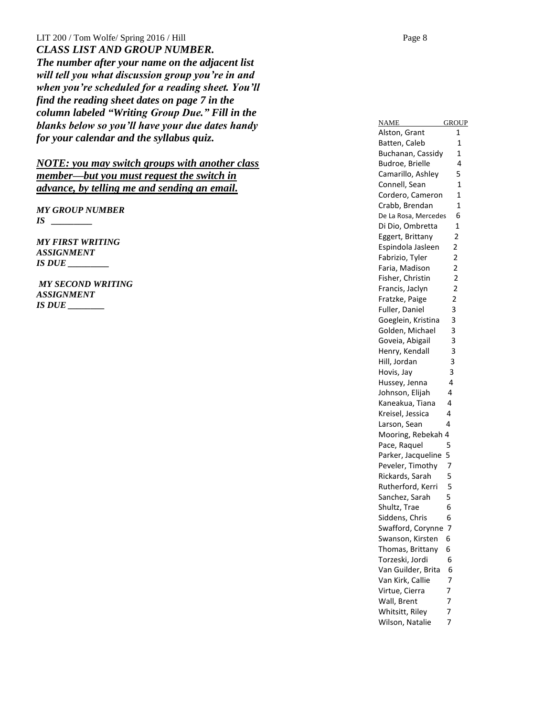LIT  $200$  / Tom Wolfe/ Spring  $2016$  / Hill *CLASS LIST AND GROUP NUMBER. The number after your name on the adjacent list will tell you what discussion group you're in and when you're scheduled for a reading sheet. You'll find the reading sheet dates on page 7 in the column labeled "Writing Group Due." Fill in the blanks below so you'll have your due dates handy for your calendar and the syllabus quiz .*

*NOTE: you may switch groups with another class member—but you must request the switch in advance, by telling me and sending an email.*

*MY GROUP NUMBER IS \_\_\_\_\_\_\_\_\_*

*MY FIRST WRITING ASSIGNMENT IS DUE \_\_\_\_\_\_\_\_\_*

*MY SECOND WRITING ASSIGNMENT IS DUE \_\_\_\_\_\_\_\_*

NAME GROUP Alston, Grant 1 Batten, Caleb 1 Buchanan, Cassidy 1 Budroe, Brielle 4 Camarillo, Ashley 5 Connell, Sea n 1 Cordero, Cameron 1 Crabb, Brendan 1 De La Rosa, Mercedes 6 Di Dio, Ombretta 1 Eggert, Brittany 2 Espindola Jasleen 2 Fabrizio, Tyler 2 Faria, Madison 2 Fisher, Christin 2 Francis, Jaclyn 2 Fratzke, Paige 2 Fuller, Daniel 3 Goeglein, Kristina 3 Golden, Michael 3 Goveia, Abigail 3 Henry, Kendall 3 Hill, Jordan 3 Hovis, Jay 3 Hussey, Jenna 4 Johnson, Elijah 4 Kaneakua, Tiana 4 Kreisel, Jessica 4 Larson, Sean 4 Mooring, Rebekah 4 Pace, Raquel 5 Parker, Jacqueline 5 Peveler, Timothy 7 Rickards, Sarah 5 Rutherford, Kerri 5 Sanchez, Sarah 5 Shultz, Trae 6 Siddens, Chris 6 Swafford, Corynne 7 Swanson, Kirsten 6 Thomas, Brittany 6 Torzeski, Jordi 6 Van Guilder, Brita 6 Van Kirk, Callie 7 Virtue, Cierra 7 Wall, Brent 7 Whitsitt, Riley 7 Wilson, Natalie 7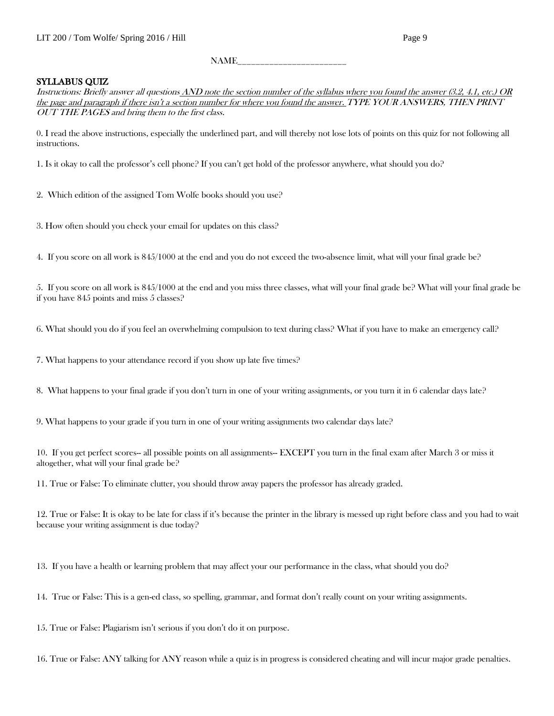## $NAME$

### SYLLABUS QUIZ

Instructions: Briefly answer all questions AND note the section number of the syllabus where you found the answer (3.2, 4.1, etc.) OR the page and paragraph if there isn't a section number for where you found the answer. TYPE YOUR ANSWERS, THEN PRINT OUT THE PAGES and bring them to the first class.

0. I read the above instructions, especially the underlined part, and will thereby not lose lots of points on this quiz for not following all instructions.

1. Is it okay to call the professor's cell phone? If you can't get hold of the professor anywhere, what should you do?

- 2. Which edition of the assigned Tom Wolfe books should you use?
- 3. How often should you check your email for updates on this class?

4. If you score on all work is 845/1000 at the end and you do not exceed the two-absence limit, what will your final grade be?

5. If you score on all work is 845/1000 at the end and you miss three classes, what will your final grade be? What will your final grade be if you have 845 points and miss 5 classes?

6. What should you do if you feel an overwhelming compulsion to text during class? What if you have to make an emergency call?

7. What happens to your attendance record if you show up late five times?

8. What happens to your final grade if you don't turn in one of your writing assignments, or you turn it in 6 calendar days late?

9. What happens to your grade if you turn in one of your writing assignments two calendar days late?

10. If you get perfect scores-- all possible points on all assignments-- EXCEPT you turn in the final exam after March 3 or miss it altogether, what will your final grade be?

11. True or False: To eliminate clutter, you should throw away papers the professor has already graded.

12. True or False: It is okay to be late for class if it's because the printer in the library is messed up right before class and you had to wait because your writing assignment is due today?

13. If you have a health or learning problem that may affect your our performance in the class, what should you do?

14. True or False: This is a gen-ed class, so spelling, grammar, and format don't really count on your writing assignments.

15. True or False: Plagiarism isn't serious if you don't do it on purpose.

16. True or False: ANY talking for ANY reason while a quiz is in progress is considered cheating and will incur major grade penalties.